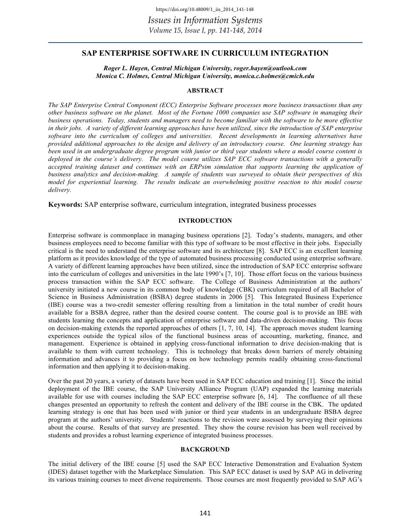# **SAP ENTERPRISE SOFTWARE IN CURRICULUM INTEGRATION**

*Roger L. Hayen, Central Michigan University, roger.hayen@outlook.com Monica C. Holmes, Central Michigan University, monica.c.holmes@cmich.edu* 

# **ABSTRACT**

*The SAP Enterprise Central Component (ECC) Enterprise Software processes more business transactions than any other business software on the planet. Most of the Fortune 1000 companies use SAP software in managing their business operations. Today, students and managers need to become familiar with the software to be more effective in their jobs. A variety of different learning approaches have been utilized, since the introduction of SAP enterprise software into the curriculum of colleges and universities. Recent developments in learning alternatives have provided additional approaches to the design and delivery of an introductory course. One learning strategy has been used in an undergraduate degree program with junior or third year students where a model course content is deployed in the course's delivery. The model course utilizes SAP ECC software transactions with a generally accepted training dataset and continues with an ERPsim simulation that supports learning the application of business analytics and decision-making. A sample of students was surveyed to obtain their perspectives of this model for experiential learning. The results indicate an overwhelming positive reaction to this model course delivery.* 

**Keywords:** SAP enterprise software, curriculum integration, integrated business processes

### **INTRODUCTION**

Enterprise software is commonplace in managing business operations [2]. Today's students, managers, and other business employees need to become familiar with this type of software to be most effective in their jobs. Especially critical is the need to understand the enterprise software and its architecture [8]. SAP ECC is an excellent learning platform as it provides knowledge of the type of automated business processing conducted using enterprise software. A variety of different learning approaches have been utilized, since the introduction of SAP ECC enterprise software into the curriculum of colleges and universities in the late 1990's [7, 10]. Those effort focus on the various business process transaction within the SAP ECC software. The College of Business Administration at the authors' university initiated a new course in its common body of knowledge (CBK) curriculum required of all Bachelor of Science in Business Administration (BSBA) degree students in 2006 [5]. This Integrated Business Experience (IBE) course was a two-credit semester offering resulting from a limitation in the total number of credit hours available for a BSBA degree, rather than the desired course content. The course goal is to provide an IBE with students learning the concepts and application of enterprise software and data-driven decision-making. This focus on decision-making extends the reported approaches of others [1, 7, 10, 14]. The approach moves student learning experiences outside the typical silos of the functional business areas of accounting, marketing, finance, and management. Experience is obtained in applying cross-functional information to drive decision-making that is available to them with current technology. This is technology that breaks down barriers of merely obtaining information and advances it to providing a focus on how technology permits readily obtaining cross-functional information and then applying it to decision-making.

Over the past 20 years, a variety of datasets have been used in SAP ECC education and training [1]. Since the initial deployment of the IBE course, the SAP University Alliance Program (UAP) expanded the learning materials available for use with courses including the SAP ECC enterprise software [6, 14]. The confluence of all these changes presented an opportunity to refresh the content and delivery of the IBE course in the CBK. The updated learning strategy is one that has been used with junior or third year students in an undergraduate BSBA degree program at the authors' university. Students' reactions to the revision were assessed by surveying their opinions about the course. Results of that survey are presented. They show the course revision has been well received by students and provides a robust learning experience of integrated business processes.

#### **BACKGROUND**

The initial delivery of the IBE course [5] used the SAP ECC Interactive Demonstration and Evaluation System (IDES) dataset together with the Marketplace Simulation. This SAP ECC dataset is used by SAP AG in delivering its various training courses to meet diverse requirements. Those courses are most frequently provided to SAP AG's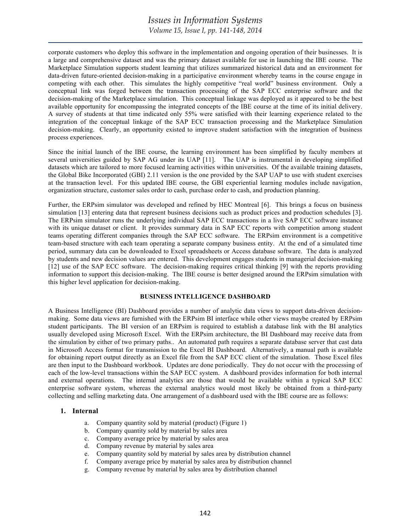*Volume 15, Issue I, pp. 141-148, 2014*

corporate customers who deploy this software in the implementation and ongoing operation of their businesses. It is a large and comprehensive dataset and was the primary dataset available for use in launching the IBE course. The Marketplace Simulation supports student learning that utilizes summarized historical data and an environment for data-driven future-oriented decision-making in a participative environment whereby teams in the course engage in competing with each other. This simulates the highly competitive "real world" business environment. Only a conceptual link was forged between the transaction processing of the SAP ECC enterprise software and the decision-making of the Marketplace simulation. This conceptual linkage was deployed as it appeared to be the best available opportunity for encompassing the integrated concepts of the IBE course at the time of its initial delivery. A survey of students at that time indicated only 55% were satisfied with their learning experience related to the integration of the conceptual linkage of the SAP ECC transaction processing and the Marketplace Simulation decision-making. Clearly, an opportunity existed to improve student satisfaction with the integration of business process experiences.

Since the initial launch of the IBE course, the learning environment has been simplified by faculty members at several universities guided by SAP AG under its UAP [11]. The UAP is instrumental in developing simplified datasets which are tailored to more focused learning activities within universities. Of the available training datasets, the Global Bike Incorporated (GBI) 2.11 version is the one provided by the SAP UAP to use with student exercises at the transaction level. For this updated IBE course, the GBI experiential learning modules include navigation, organization structure, customer sales order to cash, purchase order to cash, and production planning.

Further, the ERPsim simulator was developed and refined by HEC Montreal [6]. This brings a focus on business simulation [13] entering data that represent business decisions such as product prices and production schedules [3]. The ERPsim simulator runs the underlying individual SAP ECC transactions in a live SAP ECC software instance with its unique dataset or client. It provides summary data in SAP ECC reports with competition among student teams operating different companies through the SAP ECC software. The ERPsim environment is a competitive team-based structure with each team operating a separate company business entity. At the end of a simulated time period, summary data can be downloaded to Excel spreadsheets or Access database software. The data is analyzed by students and new decision values are entered. This development engages students in managerial decision-making [12] use of the SAP ECC software. The decision-making requires critical thinking [9] with the reports providing information to support this decision-making. The IBE course is better designed around the ERPsim simulation with this higher level application for decision-making.

# **BUSINESS INTELLIGENCE DASHBOARD**

A Business Intelligence (BI) Dashboard provides a number of analytic data views to support data-driven decisionmaking. Some data views are furnished with the ERPsim BI interface while other views maybe created by ERPsim student participants. The BI version of an ERPsim is required to establish a database link with the BI analytics usually developed using Microsoft Excel. With the ERPsim architecture, the BI Dashboard may receive data from the simulation by either of two primary paths.. An automated path requires a separate database server that cast data in Microsoft Access format for transmission to the Excel BI Dashboard. Alternatively, a manual path is available for obtaining report output directly as an Excel file from the SAP ECC client of the simulation. Those Excel files are then input to the Dashboard workbook. Updates are done periodically. They do not occur with the processing of each of the low-level transactions within the SAP ECC system. A dashboard provides information for both internal and external operations. The internal analytics are those that would be available within a typical SAP ECC enterprise software system, whereas the external analytics would most likely be obtained from a third-party collecting and selling marketing data. One arrangement of a dashboard used with the IBE course are as follows:

# **1. Internal**

- a. Company quantity sold by material (product) (Figure 1)
- b. Company quantity sold by material by sales area
- c. Company average price by material by sales area
- d. Company revenue by material by sales area
- e. Company quantity sold by material by sales area by distribution channel
- f. Company average price by material by sales area by distribution channel
- g. Company revenue by material by sales area by distribution channel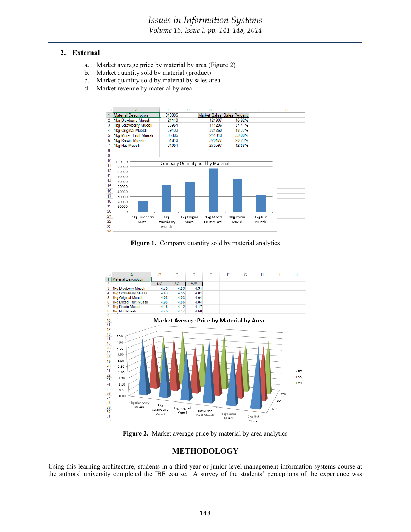### **2. External**

- a. Market average price by material by area (Figure 2)
- b. Market quantity sold by material (product)
- c. Market quantity sold by material by sales area
- d. Market revenue by material by area



Figure 1. Company quantity sold by material analytics



**Figure 2.** Market average price by material by area analytics

# **METHODOLOGY**

Using this learning architecture, students in a third year or junior level management information systems course at the authors' university completed the IBE course. A survey of the students' perceptions of the experience was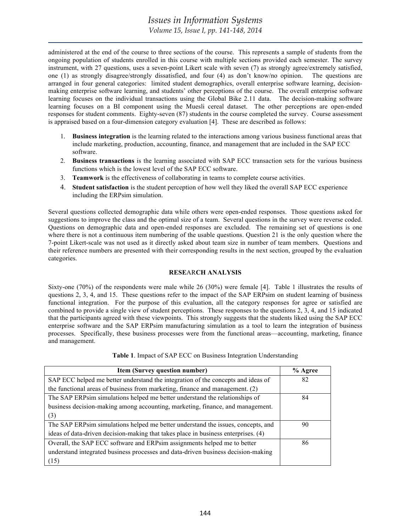administered at the end of the course to three sections of the course. This represents a sample of students from the ongoing population of students enrolled in this course with multiple sections provided each semester. The survey instrument, with 27 questions, uses a seven-point Likert scale with seven (7) as strongly agree/extremely satisfied, one (1) as strongly disagree/strongly dissatisfied, and four (4) as don't know/no opinion. The questions are arranged in four general categories: limited student demographics, overall enterprise software learning, decisionmaking enterprise software learning, and students' other perceptions of the course. The overall enterprise software learning focuses on the individual transactions using the Global Bike 2.11 data. The decision-making software learning focuses on a BI component using the Muesli cereal dataset. The other perceptions are open-ended responses for student comments. Eighty-seven (87) students in the course completed the survey. Course assessment is appraised based on a four-dimension category evaluation [4]. These are described as follows:

- 1. **Business integration** is the learning related to the interactions among various business functional areas that include marketing, production, accounting, finance, and management that are included in the SAP ECC software.
- 2. **Business transactions** is the learning associated with SAP ECC transaction sets for the various business functions which is the lowest level of the SAP ECC software.
- 3. **Teamwork** is the effectiveness of collaborating in teams to complete course activities.
- 4. **Student satisfaction** is the student perception of how well they liked the overall SAP ECC experience including the ERPsim simulation.

Several questions collected demographic data while others were open-ended responses. Those questions asked for suggestions to improve the class and the optimal size of a team. Several questions in the survey were reverse coded. Questions on demographic data and open-ended responses are excluded. The remaining set of questions is one where there is not a continuous item numbering of the usable questions. Question 21 is the only question where the 7-point Likert-scale was not used as it directly asked about team size in number of team members. Questions and their reference numbers are presented with their corresponding results in the next section, grouped by the evaluation categories.

# **RESE**AR**CH ANALYSIS**

Sixty-one (70%) of the respondents were male while 26 (30%) were female [4]. Table 1 illustrates the results of questions 2, 3, 4, and 15. These questions refer to the impact of the SAP ERPsim on student learning of business functional integration. For the purpose of this evaluation, all the category responses for agree or satisfied are combined to provide a single view of student perceptions. These responses to the questions 2, 3, 4, and 15 indicated that the participants agreed with these viewpoints. This strongly suggests that the students liked using the SAP ECC enterprise software and the SAP ERPsim manufacturing simulation as a tool to learn the integration of business processes. Specifically, these business processes were from the functional areas—accounting, marketing, finance and management.

**Table 1**. Impact of SAP ECC on Business Integration Understanding

| <b>Item (Survey question number)</b>                                               | $%$ Agree |
|------------------------------------------------------------------------------------|-----------|
| SAP ECC helped me better understand the integration of the concepts and ideas of   | 82        |
| the functional areas of business from marketing, finance and management. (2)       |           |
| The SAP ERPsim simulations helped me better understand the relationships of        | 84        |
| business decision-making among accounting, marketing, finance, and management.     |           |
| (3)                                                                                |           |
| The SAP ERPsim simulations helped me better understand the issues, concepts, and   | 90        |
| ideas of data-driven decision-making that takes place in business enterprises. (4) |           |
| Overall, the SAP ECC software and ERPsim assignments helped me to better           | 86        |
| understand integrated business processes and data-driven business decision-making  |           |
| (15)                                                                               |           |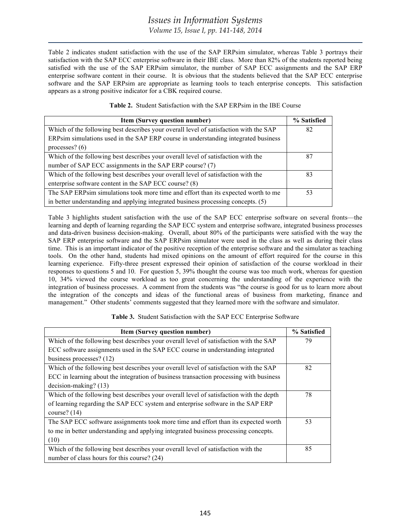Table 2 indicates student satisfaction with the use of the SAP ERPsim simulator, whereas Table 3 portrays their satisfaction with the SAP ECC enterprise software in their IBE class. More than 82% of the students reported being satisfied with the use of the SAP ERPsim simulator, the number of SAP ECC assignments and the SAP ERP enterprise software content in their course. It is obvious that the students believed that the SAP ECC enterprise software and the SAP ERPsim are appropriate as learning tools to teach enterprise concepts. This satisfaction appears as a strong positive indicator for a CBK required course.

| <b>Item (Survey question number)</b>                                                  | % Satisfied |
|---------------------------------------------------------------------------------------|-------------|
| Which of the following best describes your overall level of satisfaction with the SAP | 82          |
| ERPsim simulations used in the SAP ERP course in understanding integrated business    |             |
| processes? $(6)$                                                                      |             |
| Which of the following best describes your overall level of satisfaction with the     | 87          |
| number of SAP ECC assignments in the SAP ERP course? (7)                              |             |
| Which of the following best describes your overall level of satisfaction with the     | 83          |
| enterprise software content in the SAP ECC course? (8)                                |             |
| The SAP ERPsim simulations took more time and effort than its expected worth to me    | 53          |
| in better understanding and applying integrated business processing concepts. (5)     |             |

Table 3 highlights student satisfaction with the use of the SAP ECC enterprise software on several fronts—the learning and depth of learning regarding the SAP ECC system and enterprise software, integrated business processes and data-driven business decision-making. Overall, about 80% of the participants were satisfied with the way the SAP ERP enterprise software and the SAP ERPsim simulator were used in the class as well as during their class time. This is an important indicator of the positive reception of the enterprise software and the simulator as teaching tools. On the other hand, students had mixed opinions on the amount of effort required for the course in this learning experience. Fifty-three present expressed their opinion of satisfaction of the course workload in their responses to questions 5 and 10. For question 5, 39% thought the course was too much work, whereas for question 10, 34% viewed the course workload as too great concerning the understanding of the experience with the integration of business processes. A comment from the students was "the course is good for us to learn more about the integration of the concepts and ideas of the functional areas of business from marketing, finance and management." Other students' comments suggested that they learned more with the software and simulator.

# **Table 3.** Student Satisfaction with the SAP ECC Enterprise Software

| Item (Survey question number)                                                           | % Satisfied |
|-----------------------------------------------------------------------------------------|-------------|
| Which of the following best describes your overall level of satisfaction with the SAP   | 79          |
| ECC software assignments used in the SAP ECC course in understanding integrated         |             |
| business processes? $(12)$                                                              |             |
| Which of the following best describes your overall level of satisfaction with the SAP   | 82          |
| ECC in learning about the integration of business transaction processing with business  |             |
| $decision-making? (13)$                                                                 |             |
| Which of the following best describes your overall level of satisfaction with the depth | 78          |
| of learning regarding the SAP ECC system and enterprise software in the SAP ERP         |             |
| course? $(14)$                                                                          |             |
| The SAP ECC software assignments took more time and effort than its expected worth      | 53          |
| to me in better understanding and applying integrated business processing concepts.     |             |
| (10)                                                                                    |             |
| Which of the following best describes your overall level of satisfaction with the       | 85          |
| number of class hours for this course? (24)                                             |             |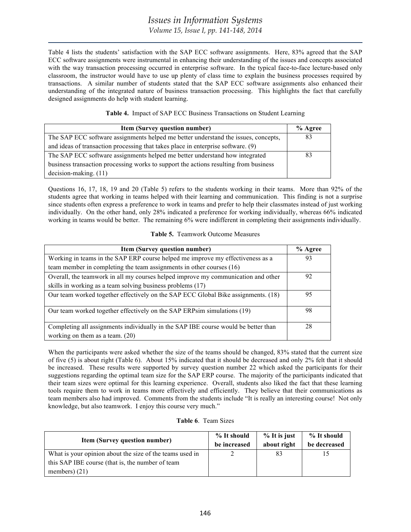*Volume 15, Issue I, pp. 141-148, 2014*

Table 4 lists the students' satisfaction with the SAP ECC software assignments. Here, 83% agreed that the SAP ECC software assignments were instrumental in enhancing their understanding of the issues and concepts associated with the way transaction processing occurred in enterprise software. In the typical face-to-face lecture-based only classroom, the instructor would have to use up plenty of class time to explain the business processes required by transactions. A similar number of students stated that the SAP ECC software assignments also enhanced their understanding of the integrated nature of business transaction processing. This highlights the fact that carefully designed assignments do help with student learning.

| Table 4. Impact of SAP ECC Business Transactions on Student Learning |  |
|----------------------------------------------------------------------|--|
|----------------------------------------------------------------------|--|

| <b>Item (Survey question number)</b>                                                 |    |  |
|--------------------------------------------------------------------------------------|----|--|
| The SAP ECC software assignments helped me better understand the issues, concepts,   | 83 |  |
| and ideas of transaction processing that takes place in enterprise software. (9)     |    |  |
| The SAP ECC software assignments helped me better understand how integrated          | 83 |  |
| business transaction processing works to support the actions resulting from business |    |  |
| $decision-making. (11)$                                                              |    |  |

Questions 16, 17, 18, 19 and 20 (Table 5) refers to the students working in their teams. More than 92% of the students agree that working in teams helped with their learning and communication. This finding is not a surprise since students often express a preference to work in teams and prefer to help their classmates instead of just working individually. On the other hand, only 28% indicated a preference for working individually, whereas 66% indicated working in teams would be better. The remaining 6% were indifferent in completing their assignments individually.

# **Table 5.** Teamwork Outcome Measures

| <b>Item (Survey question number)</b>                                               | % Agree |
|------------------------------------------------------------------------------------|---------|
| Working in teams in the SAP ERP course helped me improve my effectiveness as a     | 93      |
| team member in completing the team assignments in other courses (16)               |         |
| Overall, the teamwork in all my courses helped improve my communication and other  | 92      |
| skills in working as a team solving business problems (17)                         |         |
| Our team worked together effectively on the SAP ECC Global Bike assignments. (18)  | 95      |
| Our team worked together effectively on the SAP ERPsim simulations (19)            | 98      |
| Completing all assignments individually in the SAP IBE course would be better than | 28      |
| working on them as a team. $(20)$                                                  |         |

When the participants were asked whether the size of the teams should be changed, 83% stated that the current size of five (5) is about right (Table 6). About 15% indicated that it should be decreased and only 2% felt that it should be increased. These results were supported by survey question number 22 which asked the participants for their suggestions regarding the optimal team size for the SAP ERP course. The majority of the participants indicated that their team sizes were optimal for this learning experience. Overall, students also liked the fact that these learning tools require them to work in teams more effectively and efficiently. They believe that their communications as team members also had improved. Comments from the students include "It is really an interesting course! Not only knowledge, but also teamwork. I enjoy this course very much."

| <b>Table 6. Team Sizes</b> |  |
|----------------------------|--|
|----------------------------|--|

| <b>Item (Survey question number)</b>                     | % It should<br>be increased | % It is just<br>about right | % It should<br>be decreased |
|----------------------------------------------------------|-----------------------------|-----------------------------|-----------------------------|
| What is your opinion about the size of the teams used in |                             | 83                          |                             |
| this SAP IBE course (that is, the number of team         |                             |                             |                             |
| members) $(21)$                                          |                             |                             |                             |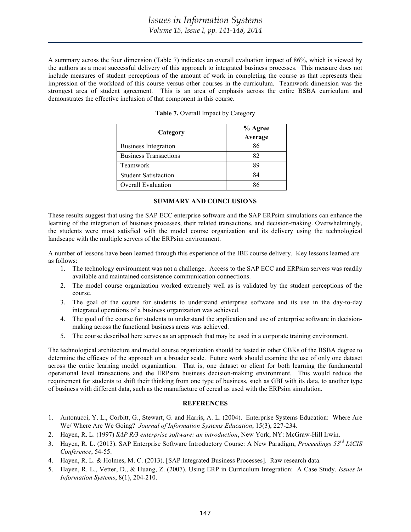A summary across the four dimension (Table 7) indicates an overall evaluation impact of 86%, which is viewed by the authors as a most successful delivery of this approach to integrated business processes. This measure does not include measures of student perceptions of the amount of work in completing the course as that represents their impression of the workload of this course versus other courses in the curriculum. Teamwork dimension was the strongest area of student agreement. This is an area of emphasis across the entire BSBA curriculum and demonstrates the effective inclusion of that component in this course.

| Category                     | % Agree |  |  |
|------------------------------|---------|--|--|
|                              | Average |  |  |
| <b>Business Integration</b>  | 86      |  |  |
| <b>Business Transactions</b> | 82      |  |  |
| Teamwork                     | 89      |  |  |
| <b>Student Satisfaction</b>  | 84      |  |  |
| <b>Overall Evaluation</b>    |         |  |  |

|  |  | Table 7. Overall Impact by Category |
|--|--|-------------------------------------|
|  |  |                                     |

#### **SUMMARY AND CONCLUSIONS**

These results suggest that using the SAP ECC enterprise software and the SAP ERPsim simulations can enhance the learning of the integration of business processes, their related transactions, and decision-making. Overwhelmingly, the students were most satisfied with the model course organization and its delivery using the technological landscape with the multiple servers of the ERPsim environment.

A number of lessons have been learned through this experience of the IBE course delivery. Key lessons learned are as follows:

- 1. The technology environment was not a challenge. Access to the SAP ECC and ERPsim servers was readily available and maintained consistence communication connections.
- 2. The model course organization worked extremely well as is validated by the student perceptions of the course.
- 3. The goal of the course for students to understand enterprise software and its use in the day-to-day integrated operations of a business organization was achieved.
- 4. The goal of the course for students to understand the application and use of enterprise software in decisionmaking across the functional business areas was achieved.
- 5. The course described here serves as an approach that may be used in a corporate training environment.

The technological architecture and model course organization should be tested in other CBKs of the BSBA degree to determine the efficacy of the approach on a broader scale. Future work should examine the use of only one dataset across the entire learning model organization. That is, one dataset or client for both learning the fundamental operational level transactions and the ERPsim business decision-making environment. This would reduce the requirement for students to shift their thinking from one type of business, such as GBI with its data, to another type of business with different data, such as the manufacture of cereal as used with the ERPsim simulation.

### **REFERENCES**

- 1. Antonucci, Y. L., Corbitt, G., Stewart, G. and Harris, A. L. (2004). Enterprise Systems Education: Where Are We/ Where Are We Going? *Journal of Information Systems Education*, 15(3), 227-234.
- 2. Hayen, R. L. (1997) *SAP R/3 enterprise software: an introduction*, New York, NY: McGraw-Hill Irwin.
- 3. Hayen, R. L. (2013). SAP Enterprise Software Introductory Course: A New Paradigm, *Proceedings 53rd IACIS Conference*, 54-55.
- 4. Hayen, R. L. & Holmes, M. C. (2013). [SAP Integrated Business Processes]. Raw research data.
- 5. Hayen, R. L., Vetter, D., & Huang, Z. (2007). Using ERP in Curriculum Integration: A Case Study. *Issues in Information Systems*, 8(1), 204-210.